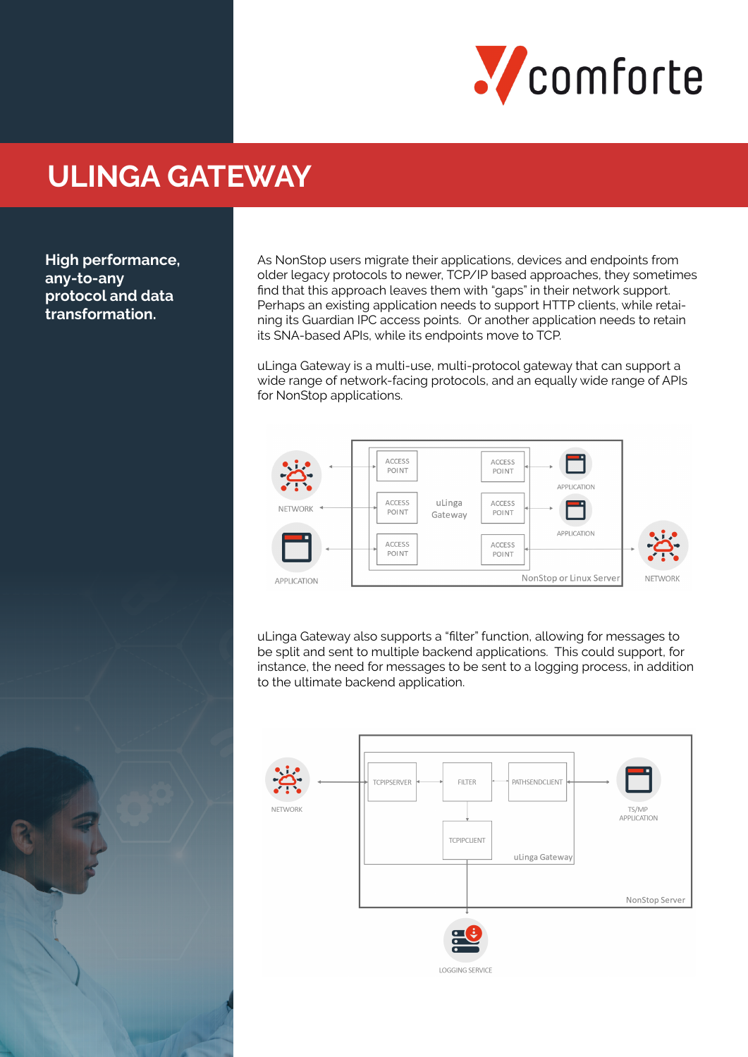

# **ULINGA GATEWAY**

**High performance, any-to-any protocol and data transformation.**

As NonStop users migrate their applications, devices and endpoints from older legacy protocols to newer, TCP/IP based approaches, they sometimes find that this approach leaves them with "gaps" in their network support. Perhaps an existing application needs to support HTTP clients, while retaining its Guardian IPC access points. Or another application needs to retain its SNA-based APIs, while its endpoints move to TCP.

uLinga Gateway is a multi-use, multi-protocol gateway that can support a wide range of network-facing protocols, and an equally wide range of APIs for NonStop applications.



uLinga Gateway also supports a "filter" function, allowing for messages to be split and sent to multiple backend applications. This could support, for instance, the need for messages to be sent to a logging process, in addition to the ultimate backend application.